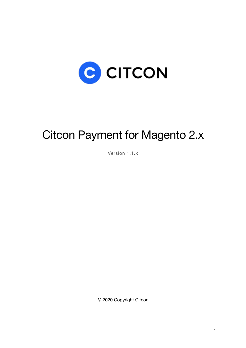

# Citcon Payment for Magento 2.x

Version 1.1.x

© 2020 Copyright Citcon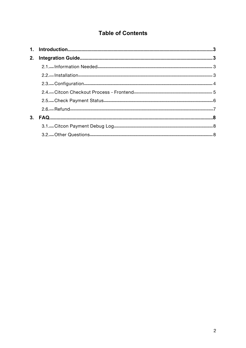# **Table of Contents**

| 2. |  |
|----|--|
|    |  |
|    |  |
|    |  |
|    |  |
|    |  |
|    |  |
| 3. |  |
|    |  |
|    |  |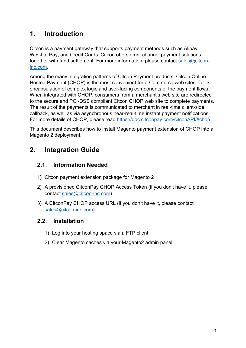## **1. Introduction**

Citcon is a payment gateway that supports payment methods such as Alipay, WeChat Pay, and Credit Cards. Citcon offers omni-channel payment solutions together with fund settlement. For more information, please contact [sales@citcon](mailto:sales@citcon-inc.com)inc.com.

Among the many integration patterns of Citcon Payment products, Citcon Online Hosted Payment (CHOP) is the most convenient for e-Commerce web sites, for its encapsulation of complex logic and user-facing components of the payment flows. When integrated with CHOP, consumers from a merchant's web site are redirected to the secure and PCI-DSS compliant Citcon CHOP web site to complete payments. The result of the payments is communicated to merchant in real-time client-side callback, as well as via asynchronous near-real-time instant payment notifications. For more details of CHOP, please read <https://doc.citconpay.com/citconAPI/#chop>.

This document describes how to install Magento payment extension of CHOP into a Magento 2 deployment.

# **2. Integration Guide**

## **2.1. Information Needed**

- 1) Citcon payment extension package for Magento 2
- 2) A provisioned CitconPay CHOP Access Token (if you don't have it, please contact [sales@citcon-inc.com\)](mailto:sales@citcon-inc.com)
- 3) A CitconPay CHOP access URL (if you don't have it, please contact [sales@citcon-inc.com\)](mailto:sales@citcon-inc.com)

### **2.2. Installation**

- 1) Log into your hosting space via a FTP client
- 2) Clear Magento caches via your Magento2 admin panel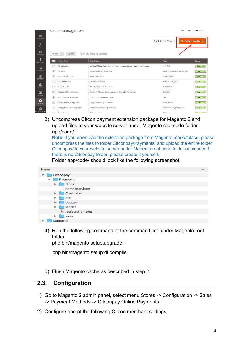|                          | Cache Management               |                                                                           |                          | MAGAZINE 1                 |
|--------------------------|--------------------------------|---------------------------------------------------------------------------|--------------------------|----------------------------|
|                          |                                |                                                                           | Flush Cache Storage      | <b>Flush Magento Cache</b> |
| Refresh                  | Submit<br>$\mathbf{v}$         | 12 records found (12 selected)                                            |                          |                            |
| v                        | <b>Cache Type</b>              | <b>Description</b>                                                        | Tags                     | <b>Status</b>              |
| $\overline{\mathsf{v}}$  | Configuration                  | Various XML configurations that were collected across modules and merged. | CONFIG                   | <b>ENABLED</b>             |
| $\overline{\checkmark}$  | Layouts                        | Layout building instructions.                                             | LAYOUT_GENERAL_CACHE_TAG | <b>ENABLED</b>             |
| $\overline{\mathsf{v}}$  | Blocks HTML output             | Page blocks HTML.                                                         | <b>BLOCK HTML</b>        | <b>ENABLED</b>             |
| $\overline{\checkmark}$  | Collections Data               | Collection data files.                                                    | COLLECTION_DATA          | <b>ENABLED</b>             |
| $\overline{\checkmark}$  | Reflection Data                | API interfaces reflection data.                                           | <b>REFLECTION</b>        | <b>ENABLED</b>             |
| $\blacktriangledown$     | Database DDL operations        | Results of DDL queries, such as describing tables or indexes.             | DB DDL                   | <b>ENABLED</b>             |
| $\overline{\mathsf{v}}$  | EAV types and attributes       | Entity types declaration cache.                                           | EAV                      | <b>ENABLED</b>             |
| $\overline{\mathcal{L}}$ | Integrations Configuration     | Integration configuration file.                                           | <b>INTEGRATION</b>       | <b>ENABLED</b>             |
| $\checkmark$             | Integrations API Configuration | integrations API configuration file.                                      | INTEGRATION API_CONFIG   | <b>ENABLED</b>             |
| CW.                      | <b>Chang Posts</b>             | We diverge a manufacturer                                                 | more                     | <b>CONTRACTOR</b>          |

3) Uncompress Citcon payment extension package for Magento 2 and upload files to your website server under Magento root code folder app/code/

**Note**: if you download the extension package from Magento marketplace, please uncompress the files to folder Citconpay/Payments/ and upload the entire folder Citconpay/ to your website server under Magento root code folder app/code/.If there is no Citconpay folder, please create it yourself.

Folder app/code/ should look like the following screenshot:

| Name                                | $\lambda$ |
|-------------------------------------|-----------|
| Citconpay<br>$\blacktriangledown$   |           |
| Payments<br>v                       |           |
| Block<br>$\blacktriangleright$      |           |
| composer.json                       |           |
| Controller<br>$\blacktriangleright$ |           |
| etc<br>ь<br>τ                       |           |
| Logger<br>$\blacktriangleright$     |           |
| Model<br>►.                         |           |
| 画 registration.php                  |           |
| <b>View</b><br>Þ.<br>τ              |           |
| Magento                             |           |

4) Run the following command at the command line under Magento root folder

php bin/magento setup:upgrade

php bin/magento setup:di:compile

5) Flush Magento cache as described in step 2.

## **2.3. Configuration**

- 1) Go to Magento 2 admin panel, select menu Stores -> Configuration -> Sales -> Payment Methods -> Citconpay Online Payments
- 2) Configure one of the following Citcon merchant settings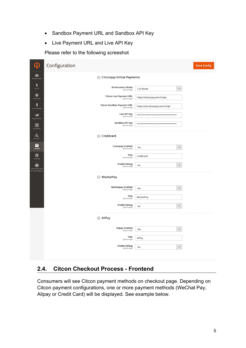- Sandbox Payment URL and Sandbox API Key
- Live Payment URL and Live API Key

#### Please refer to the following screeshot

| M                                         | Configuration |                                                   |                                  |                         | <b>Save Config</b> |
|-------------------------------------------|---------------|---------------------------------------------------|----------------------------------|-------------------------|--------------------|
| ☎<br><b>DASHBOARD</b>                     |               | ⊙ Citconpay Online Payments                       |                                  |                         |                    |
| \$<br>SALES                               |               | <b>Environment Mode</b><br>[store view]           | Live Mode                        | $\blacktriangledown$    |                    |
| Ŵ<br>CATALOG                              |               | <b>Citcon Live Payment URL</b><br>[store view]    | https://citconpay.com/chop/      |                         |                    |
| 륳<br><b>CUSTOMERS</b>                     |               | <b>Citcon Sandbox Payment URL</b><br>[store view] | https://uat.citconpay.com/chop/  |                         |                    |
| H<br>MARKETING                            |               | Live API Key<br>[store view]                      | ******************************** |                         |                    |
| $\Box$<br>CONTENT                         |               | Sandbox API Key<br>[store view]                   | ******************************** |                         |                    |
| ıl,<br><b>REPORTS</b>                     |               | $\odot$ Creditcard                                |                                  |                         |                    |
| 伵<br><b>STORES</b>                        |               | <b>Unionpay Enabled</b><br>[store view]           | Yes                              | $\overline{\mathbf{v}}$ |                    |
| ✿<br>SYSTEM                               |               | Title<br>[store view]                             | Creditcard                       |                         |                    |
| ô<br><b>FIND PARTNERS</b><br>& EXTENSIONS |               | <b>Enable Debug</b><br>[store view]               | No                               | $\blacktriangledown$    |                    |
|                                           |               | ⊙ WechatPay                                       |                                  |                         |                    |
|                                           |               | <b>Wechatpay Enabled</b><br>[store view]          | Yes                              | $\pmb{\mathrm{v}}$      |                    |
|                                           |               | Title<br>[store view]                             | WechatPay                        |                         |                    |
|                                           |               | <b>Enable Debug</b><br>[store view]               | No                               | $\blacktriangledown$    |                    |
|                                           |               | $\odot$ AliPay                                    |                                  |                         |                    |
|                                           |               | <b>Alipay Enabled</b>                             |                                  | $\blacktriangledown$    |                    |
|                                           |               | [store view]<br>Title                             | Yes                              |                         |                    |
|                                           |               | [store view]                                      | AliPay                           |                         |                    |
|                                           |               | <b>Enable Debug</b><br>[store view]               | No                               | $\blacktriangledown$    |                    |
|                                           |               |                                                   |                                  |                         |                    |

## **2.4. Citcon Checkout Process - Frontend**

Consumers will see Citcon payment methods on checkout page. Depending on Citcon payment configurations, one or more payment methods (WeChat Pay, Alipay or Credit Card) will be displayed. See example below.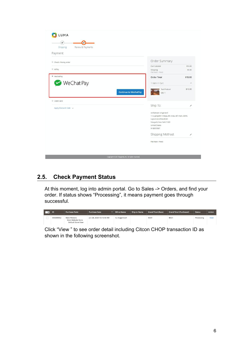| Payment               |                                                                           |
|-----------------------|---------------------------------------------------------------------------|
| Check / Money order   | Order Summary                                                             |
|                       | Cart Subtotal<br>\$10.00                                                  |
| AliPay                | Shipping<br>\$5.00<br>Flat Rate - Flored                                  |
| * WechatPay           | Order Total<br>\$15.00                                                    |
| <b>WeChat Pay</b>     | 1 Item in Cart<br>$\sim$                                                  |
|                       |                                                                           |
| Credit card           | Ship To:<br>v                                                             |
| Apply Discount Code v |                                                                           |
|                       | venkatesan singaravel                                                     |
|                       | 114, gangothri nilaya, 4th cross, 4th main, BEML<br>Layout, kundhanahalli |
|                       | Newyork, New York 11001                                                   |
|                       | <b>United States</b>                                                      |
|                       | 9108557887                                                                |
|                       | Shipping Method:<br>1                                                     |

# **2.5. Check Payment Status**

At this moment, log into admin portal. Go to Sales -> Orders, and find your order. If status shows "Processing", it means payment goes through successful.

| <b>TELEVISION</b> | ID        | <b>Purchase Point</b>                                    | <b>Purchase Date</b>     | <b>Bill-to Name</b> | <b>Ship-to Name</b> | <b>Grand Total (Base)</b> | <b>Grand Total (Purchased)</b> | <b>Status</b> | <b>Action</b> |
|-------------------|-----------|----------------------------------------------------------|--------------------------|---------------------|---------------------|---------------------------|--------------------------------|---------------|---------------|
|                   | 000000002 | Main Website<br>Main Website Store<br>Default Store View | Jun 28, 2020 10:15:43 AM | liu magento21       |                     | \$0.01                    | \$0.01                         | Processing    | View          |

Click "View " to see order detail including Citcon CHOP transaction ID as shown in the following screenshot.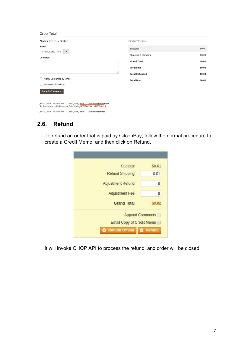| <b>Order Total</b>                                                                                                                        |                       |        |
|-------------------------------------------------------------------------------------------------------------------------------------------|-----------------------|--------|
| Notes for this Order                                                                                                                      | <b>Order Totals</b>   |        |
| <b>Status</b>                                                                                                                             | Subtotal              | \$0.01 |
| Credit_Card_Trans<br>$\boldsymbol{\mathrm{v}}$<br>Comment                                                                                 | Shipping & Handling   | \$0.00 |
|                                                                                                                                           | <b>Grand Total</b>    | \$0.01 |
|                                                                                                                                           | <b>Total Paid</b>     | \$0.00 |
| //.                                                                                                                                       | <b>Total Refunded</b> | \$0.00 |
| Notify Customer by Email                                                                                                                  | <b>Total Due</b>      | \$0.01 |
| Visible on Storefront                                                                                                                     |                       |        |
| <b>Submit Comment</b>                                                                                                                     |                       |        |
|                                                                                                                                           |                       |        |
| Jun 11, 2020  12:46:45 AM  Credit_Card_Trans  Customer Not Notified<br>Redirecting user with Citconpay Order Code #000000070at1591836404. |                       |        |
| Jun 11, 2020  12:46:45 AM   Credit_Card_Trans<br><b>Customer Notified</b>                                                                 |                       |        |

## **2.6. Refund**

To refund an order that is paid by CitconPay, follow the normal procedure to create a Credit Memo, and then click on Refund.

| \$0.01                    |
|---------------------------|
| 0.01                      |
| 0                         |
| 0                         |
| \$0.02                    |
| <b>Append Comments</b>    |
| Email Copy of Credit Memo |
| Refund Offline   O Refund |
|                           |

It will invoke CHOP API to process the refund, and order will be closed.